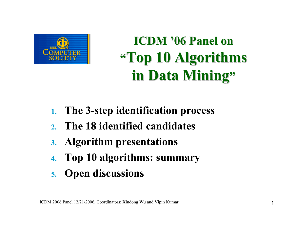

**ICDM '06 Panel on "Top 10 Algorithms Top 10 Algorithms in Data Mining"** 

- **1.The 3-step identification process**
- **2.The 18 identified candidates**
- **3. Algorithm presentations**
- **4.Top 10 algorithms: summary**
- **5. Open discussions**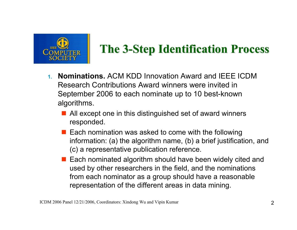

#### **The 3-Step Identification Process**

- **1. Nominations.** ACM KDD Innovation Award and IEEE ICDM Research Contributions Award winners were invited in September 2006 to each nominate up to 10 best-known algorithms.
	- All except one in this distinguished set of award winners responded.
	- $\blacksquare$  Each nomination was asked to come with the following information: (a) the algorithm name, (b) a brief justification, and (c) a representative publication reference.
	- Each nominated algorithm should have been widely cited and used by other researchers in the field, and the nominations from each nominator as a group should have a reasonable representation of the different areas in data mining.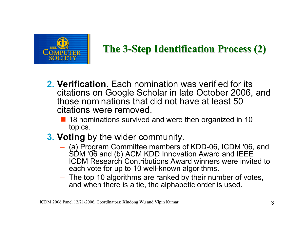

#### **The 3-Step Identification Process (2)**

- **2. Verification.** Each nomination was verified for its citations on Google Scholar in late October 2006, and those nominations that did not have at least 50 citations were removed.
	- 18 nominations survived and were then organized in 10 topics.
- **3. Voting** by the wider community.
	- (a) Program Committee members of KDD-06, ICDM '06, and SDM '06 and (b) ACM KDD Innovation Award and IEEE ICDM Research Contributions Award winners were invited to each vote for up to 10 well-known algorithms.
	- The top 10 algorithms are ranked by their number of votes, and when there is a tie, the alphabetic order is used.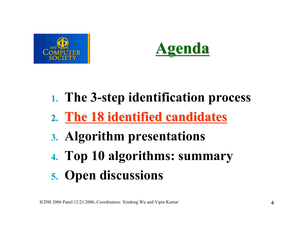



### **2. The 18 identified candidates**

- **3. Algorithm presentations**
- **4. Top 10 algorithms: summary**

### **5. Open discussions**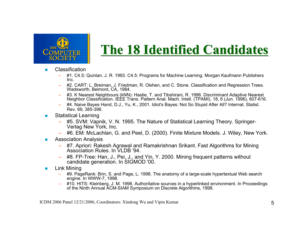

#### **The 18 Identified Candidates The 18 Identified Candidates**

- **COL**  Classification
	- #1. C4.5: Quinlan, J. R. 1993. C4.5: Programs for Machine Learning. Morgan Kaufmann Publishers Inc.
	- #2. CART: L. Breiman, J. Friedman, R. Olshen, and C. Stone. Classification and Regression Trees. Wadsworth, Belmont, CA, 1984.
	- #3. K Nearest Neighbours (kNN): Hastie, T. and Tibshirani, R. 1996. Discriminant Adaptive Nearest Neighbor Classification. IEEE Trans. Pattern Anal. Mach. Intell. (TPAMI). 18, 6 (Jun. 1996), 607-616.
	- #4. Naive Bayes Hand, D.J., Yu, K., 2001. Idiot's Bayes: Not So Stupid After All? Internat. Statist. Rev. 69, 385-398.
- **College**  Statistical Learning
	- #5. SVM: Vapnik, V. N. 1995. The Nature of Statistical Learning Theory. Springer-Verlag New York, Inc.
	- #6. EM: McLachlan, G. and Peel, D. (2000). Finite Mixture Models. J. Wiley, New York.
- **College**  Association Analysis
	- #7. Apriori: Rakesh Agrawal and Ramakrishnan Srikant. Fast Algorithms for Mining Association Rules. In VLDB '94.
	- – #8. FP-Tree: Han, J., Pei, J., and Yin, Y. 2000. Mining frequent patterns without candidate generation. In SIGMOD '00.
- **The State**  Link Mining
	- #9. PageRank: Brin, S. and Page, L. 1998. The anatomy of a large-scale hypertextual Web search engine. In WWW-7, 1998.
	- – #10. HITS: Kleinberg, J. M. 1998. Authoritative sources in a hyperlinked environment. In Proceedings of the Ninth Annual ACM-SIAM Symposium on Discrete Algorithms, 1998.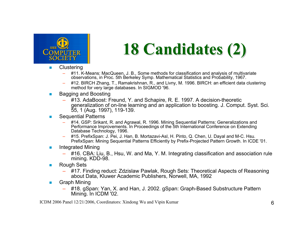

# **18 Candidates (2) 18 Candidates (2)**

- **The State Clustering** 
	- #11. K-Means: MacQueen, J. B., Some methods for classification and analysis of multivariate observations, in Proc. 5th Berkeley Symp. Mathematical Statistics and Probability, 1967.
	- #12. BIRCH Zhang, T., Ramakrishnan, R., and Livny, M. 1996. BIRCH: an efficient data clustering method for very large databases. In SIGMOD '96.
- **The State**  Bagging and Boosting
	- #13. AdaBoost: Freund, Y. and Schapire, R. E. 1997. A decision-theoretic generalization of on-line learning and an application to boosting. J. Comput. Syst. Sci. 55, 1 (Aug. 1997), 119-139.
- **The State**  Sequential Patterns
	- #14. GSP: Srikant, R. and Agrawal, R. 1996. Mining Sequential Patterns: Generalizations and Performance Improvements. In Proceedings of the 5th International Conference on Extending Database Technology, 1996.
	- – #15. PrefixSpan: J. Pei, J. Han, B. Mortazavi-Asl, H. Pinto, Q. Chen, U. Dayal and M-C. Hsu. PrefixSpan: Mining Sequential Patterns Efficiently by Prefix-Projected Pattern Growth. In ICDE '01.
- $\mathbf{r}$  Integrated Mining
	- #16. CBA: Liu, B., Hsu, W. and Ma, Y. M. Integrating classification and association rule mining. KDD-98.
- **The State**  Rough Sets
	- #17. Finding reduct: Zdzislaw Pawlak, Rough Sets: Theoretical Aspects of Reasoning about Data, Kluwer Academic Publishers, Norwell, MA, 1992
- **College**  Graph Mining
	- #18. gSpan: Yan, X. and Han, J. 2002. gSpan: Graph-Based Substructure Pattern Mining. In ICDM '02.

ICDM 2006 Panel 12/21/2006, Coordinators: Xindong Wu and Vipin Kumar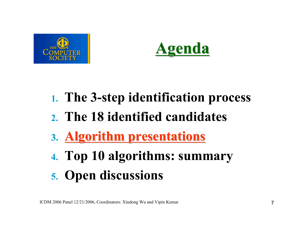



- **2. The 18 identified candidates**
- **3. Algorithm presentations Algorithm presentations**
- **4. Top 10 algorithms: summary**
- **5. Open discussions**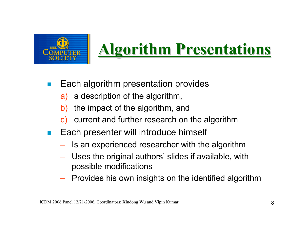

## **Algorithm Presentations Algorithm Presentations**

- Each algorithm presentation provides
	- a) a description of the algorithm,
	- b) the impact of the algorithm, and
	- c) current and further research on the algorithm
- П Each presenter will introduce himself
	- Is an experienced researcher with the algorithm
	- Uses the original authors' slides if available, with possible modifications
	- Provides his own insights on the identified algorithm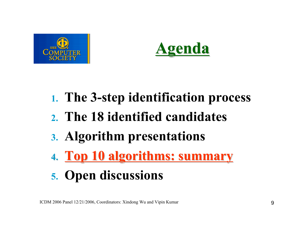



- **2. The 18 identified candidates**
- **3. Algorithm presentations**
- **4. Top 10 algorithms: summary Top 10 algorithms: summary**
- **5. Open discussions**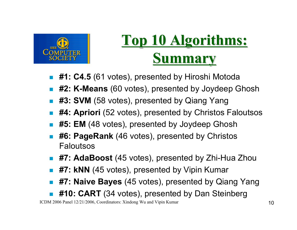

## **Top 10 Algorithms: Top 10 Algorithms: Summary Summary**

- $\mathbb{R}^2$ **#1: C4.5** (61 votes), presented by Hiroshi Motoda
- **#2: K-Means** (60 votes), presented by Joydeep Ghosh
- #3: SVM (58 votes), presented by Qiang Yang
- $\mathbb{R}^2$ **#4: Apriori** (52 votes), presented by Christos Faloutsos
- Г. **#5: EM** (48 votes), presented by Joydeep Ghosh
- $\mathbb{R}^n$  **#6: PageRank** (46 votes), presented by Christos Faloutsos
- **#7: AdaBoost** (45 votes), presented by Zhi-Hua Zhou
- **#7: kNN** (45 votes), presented by Vipin Kumar
- $\mathbb{R}^2$ **#7: Naive Bayes** (45 votes), presented by Qiang Yang
- Г. **#10: CART** (34 votes), presented by Dan Steinberg

ICDM 2006 Panel 12/21/2006, Coordinators: Xindong Wu and Vipin Kumar 10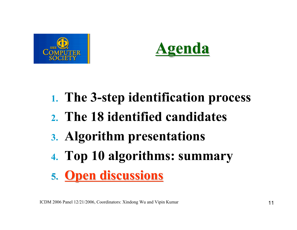



- **2. The 18 identified candidates**
- **3. Algorithm presentations**
- **4. Top 10 algorithms: summary**

### **5. Open discussions**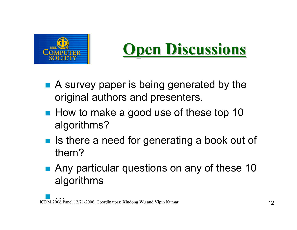

## **Open Discussions Open Discussions**

- A survey paper is being generated by the original authors and presenters.
- How to make a good use of these top 10 algorithms?
- Is there a need for generating a book out of them?
- Any particular questions on any of these 10 algorithms